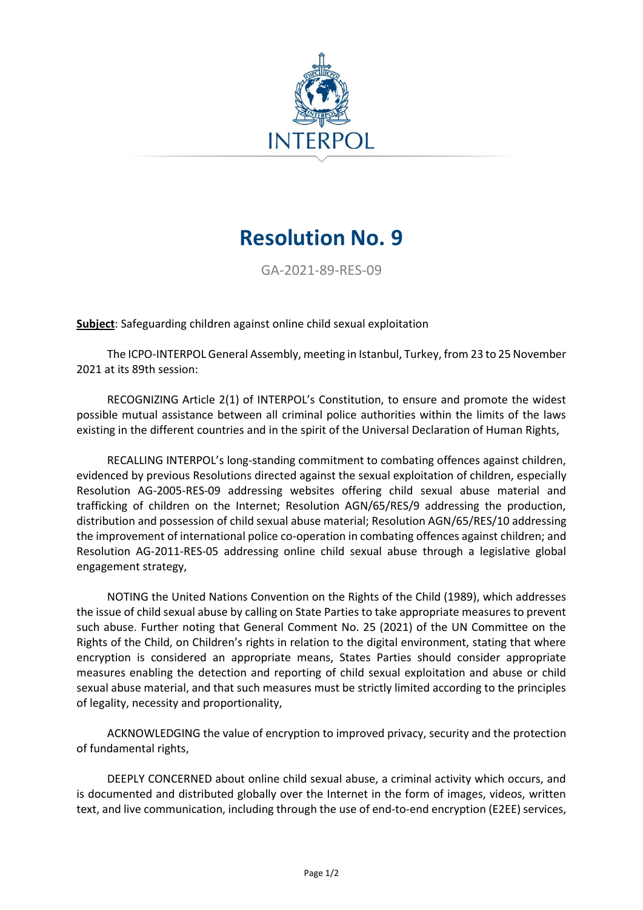

## **Resolution No. 9**

GA-2021-89-RES-09

**Subject**: Safeguarding children against online child sexual exploitation

The ICPO-INTERPOL General Assembly, meeting in Istanbul, Turkey, from 23 to 25 November 2021 at its 89th session:

RECOGNIZING Article 2(1) of INTERPOL's Constitution, to ensure and promote the widest possible mutual assistance between all criminal police authorities within the limits of the laws existing in the different countries and in the spirit of the Universal Declaration of Human Rights,

RECALLING INTERPOL's long-standing commitment to combating offences against children, evidenced by previous Resolutions directed against the sexual exploitation of children, especially Resolution AG-2005-RES-09 addressing websites offering child sexual abuse material and trafficking of children on the Internet; Resolution AGN/65/RES/9 addressing the production, distribution and possession of child sexual abuse material; Resolution AGN/65/RES/10 addressing the improvement of international police co-operation in combating offences against children; and Resolution AG-2011-RES-05 addressing online child sexual abuse through a legislative global engagement strategy,

NOTING the United Nations Convention on the Rights of the Child (1989), which addresses the issue of child sexual abuse by calling on State Parties to take appropriate measures to prevent such abuse. Further noting that General Comment No. 25 (2021) of the UN Committee on the Rights of the Child, on Children's rights in relation to the digital environment, stating that where encryption is considered an appropriate means, States Parties should consider appropriate measures enabling the detection and reporting of child sexual exploitation and abuse or child sexual abuse material, and that such measures must be strictly limited according to the principles of legality, necessity and proportionality,

ACKNOWLEDGING the value of encryption to improved privacy, security and the protection of fundamental rights,

DEEPLY CONCERNED about online child sexual abuse, a criminal activity which occurs, and is documented and distributed globally over the Internet in the form of images, videos, written text, and live communication, including through the use of end-to-end encryption (E2EE) services,